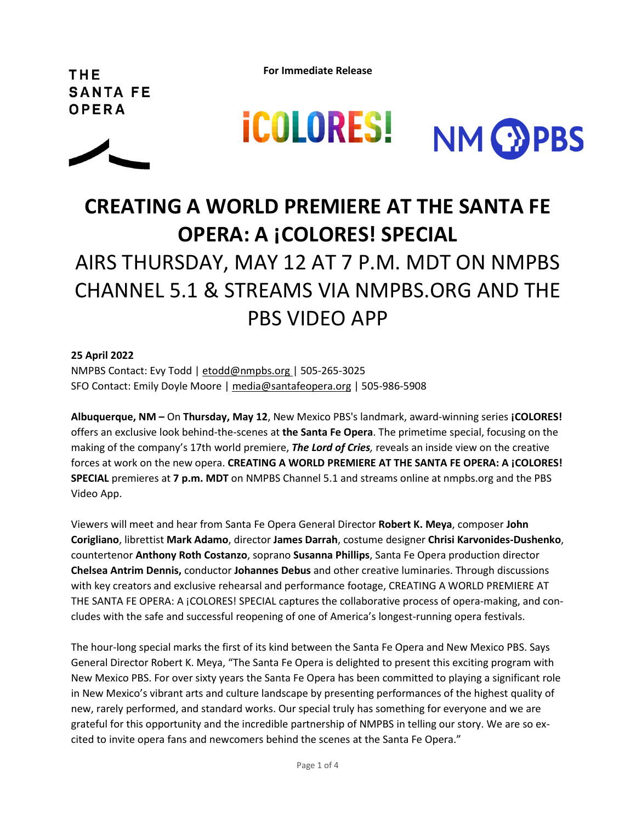**For Immediate Release**

THE **SANTA FE** OPERA





# **CREATING A WORLD PREMIERE AT THE SANTA FE OPERA: A ¡COLORES! SPECIAL**

# AIRS THURSDAY, MAY 12 AT 7 P.M. MDT ON NMPBS CHANNEL 5.1 & STREAMS VIA [NMPBS.ORG](http://nmpbs.org/) AND THE PBS VIDEO APP

# **25 April 2022**

NMPBS Contact: Evy Todd | [etodd@nmpbs.org](mailto:etodd@nmpbs.org) | 505-265-3025 SFO Contact: Emily Doyle Moore | [media@santafeopera.org](mailto:media@santafeopera.org) | 505-986-5908

**Albuquerque, NM –** On **Thursday, May 12**, New Mexico PBS's landmark, award-winning series **¡COLORES!** offers an exclusive look behind-the-scenes at **the Santa Fe Opera**. The primetime special, focusing on the making of the company's 17th world premiere, *The Lord of Cries,* reveals an inside view on the creative forces at work on the new opera. **CREATING A WORLD PREMIERE AT THE SANTA FE OPERA: A ¡COLORES! SPECIAL** premieres at **7 p.m. MDT** on NMPBS Channel 5.1 and streams online at [nmpbs.org](http://nmpbs.org/) and the PBS Video App.

Viewers will meet and hear from Santa Fe Opera General Director **Robert K. Meya**, composer **John Corigliano**, librettist **Mark Adamo**, director **James Darrah**, costume designer **Chrisi Karvonides-Dushenko**, countertenor **Anthony Roth Costanzo**, soprano **Susanna Phillips**, Santa Fe Opera production director **Chelsea Antrim Dennis,** conductor **Johannes Debus** and other creative luminaries. Through discussions with key creators and exclusive rehearsal and performance footage, CREATING A WORLD PREMIERE AT THE SANTA FE OPERA: A ¡COLORES! SPECIAL captures the collaborative process of opera-making, and concludes with the safe and successful reopening of one of America's longest-running opera festivals.

The hour-long special marks the first of its kind between the Santa Fe Opera and New Mexico PBS. Says General Director Robert K. Meya, "The Santa Fe Opera is delighted to present this exciting program with New Mexico PBS. For over sixty years the Santa Fe Opera has been committed to playing a significant role in New Mexico's vibrant arts and culture landscape by presenting performances of the highest quality of new, rarely performed, and standard works. Our special truly has something for everyone and we are grateful for this opportunity and the incredible partnership of NMPBS in telling our story. We are so excited to invite opera fans and newcomers behind the scenes at the Santa Fe Opera."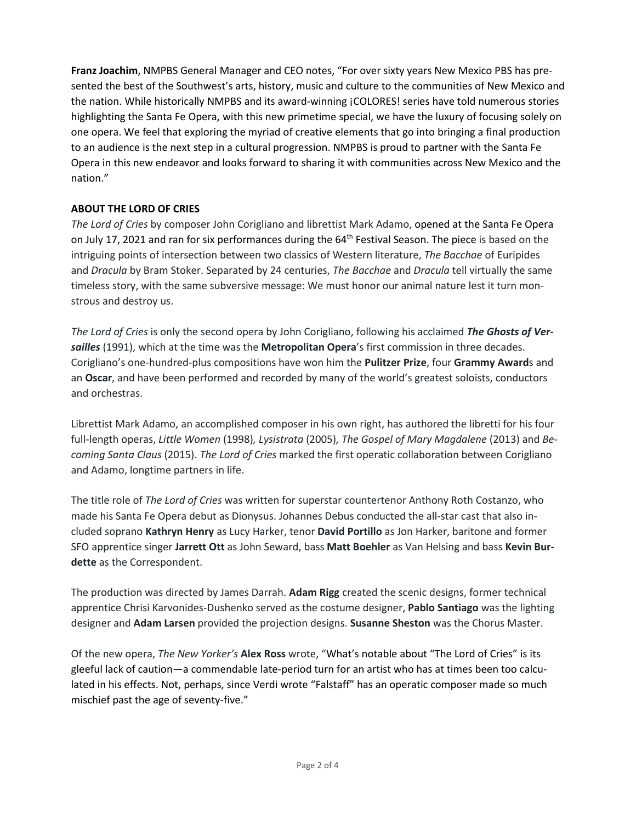**Franz Joachim**, NMPBS General Manager and CEO notes, "For over sixty years New Mexico PBS has presented the best of the Southwest's arts, history, music and culture to the communities of New Mexico and the nation. While historically NMPBS and its award-winning ¡COLORES! series have told numerous stories highlighting the Santa Fe Opera, with this new primetime special, we have the luxury of focusing solely on one opera. We feel that exploring the myriad of creative elements that go into bringing a final production to an audience is the next step in a cultural progression. NMPBS is proud to partner with the Santa Fe Opera in this new endeavor and looks forward to sharing it with communities across New Mexico and the nation."

# **ABOUT THE LORD OF CRIES**

*The Lord of Cries* by composer John Corigliano and librettist Mark Adamo, opened at the Santa Fe Opera on July 17, 2021 and ran for six performances during the 64<sup>th</sup> Festival Season. The piece is based on the intriguing points of intersection between two classics of Western literature, *The Bacchae* of Euripides and *Dracula* by Bram Stoker. Separated by 24 centuries, *The Bacchae* and *Dracula* tell virtually the same timeless story, with the same subversive message: We must honor our animal nature lest it turn monstrous and destroy us.

*The Lord of Cries* is only the second opera by John Corigliano, following his acclaimed *The Ghosts of Versailles* (1991), which at the time was the **Metropolitan Opera**'s first commission in three decades. Corigliano's one-hundred-plus compositions have won him the **Pulitzer Prize**, four **Grammy Award**s and an **Oscar**, and have been performed and recorded by many of the world's greatest soloists, conductors and orchestras.

Librettist Mark Adamo, an accomplished composer in his own right, has authored the libretti for his four full-length operas, *Little Women* (1998)*, Lysistrata* (2005)*, The Gospel of Mary Magdalene* (2013) and *Becoming Santa Claus* (2015). *The Lord of Cries* marked the first operatic collaboration between Corigliano and Adamo, longtime partners in life.

The title role of *The Lord of Cries* was written for superstar countertenor Anthony Roth Costanzo, who made his Santa Fe Opera debut as Dionysus. Johannes Debus conducted the all-star cast that also included soprano **Kathryn Henry** as Lucy Harker, tenor **David Portillo** as Jon Harker, baritone and former SFO apprentice singer **Jarrett Ott** as John Seward, bass **Matt Boehler** as Van Helsing and bass **Kevin Burdette** as the Correspondent.

The production was directed by James Darrah. **Adam Rigg** created the scenic designs, former technical apprentice Chrisi Karvonides-Dushenko served as the costume designer, **Pablo Santiago** was the lighting designer and **Adam Larsen** provided the projection designs. **Susanne Sheston** was the Chorus Master.

Of the new opera, *The New Yorker's* **Alex Ross** wrote, "What's notable about "The Lord of Cries" is its gleeful lack of caution—a commendable late-period turn for an artist who has at times been too calculated in his effects. Not, perhaps, since Verdi wrote "Falstaff" has an operatic composer made so much mischief past the age of seventy-five."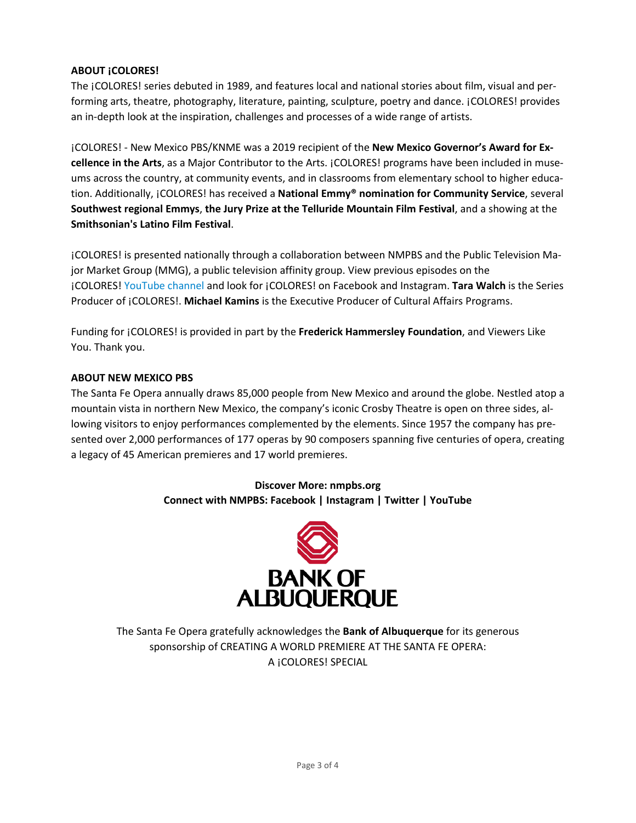# **ABOUT ¡COLORES!**

The ¡COLORES! series debuted in 1989, and features local and national stories about film, visual and performing arts, theatre, photography, literature, painting, sculpture, poetry and dance. ¡COLORES! provides an in-depth look at the inspiration, challenges and processes of a wide range of artists.

¡COLORES! - New Mexico PBS/KNME was a 2019 recipient of the **New Mexico Governor's Award for Excellence in the Arts**, as a Major Contributor to the Arts. ¡COLORES! programs have been included in museums across the country, at community events, and in classrooms from elementary school to higher education. Additionally, ¡COLORES! has received a **National Emmy® nomination for Community Service**, several **Southwest regional Emmys**, **the Jury Prize at the Telluride Mountain Film Festival**, and a showing at the **Smithsonian's Latino Film Festival**.

¡COLORES! is presented nationally through a collaboration between NMPBS and the Public Television Major Market Group (MMG), a public television affinity group. View previous episodes on the ¡COLORES! [YouTube](https://www.newmexicopbs.org/coloresyoutube) channel and look for ¡COLORES! on Facebook and Instagram. **Tara Walch** is the Series Producer of ¡COLORES!. **Michael Kamins** is the Executive Producer of Cultural Affairs Programs.

Funding for ¡COLORES! is provided in part by the **Frederick Hammersley Foundation**, and Viewers Like You. Thank you.

# **ABOUT NEW MEXICO PBS**

The Santa Fe Opera annually draws 85,000 people from New Mexico and around the globe. Nestled atop a mountain vista in northern New Mexico, the company's iconic Crosby Theatre is open on three sides, allowing visitors to enjoy performances complemented by the elements. Since 1957 the company has presented over 2,000 performances of 177 operas by 90 composers spanning five centuries of opera, creating a legacy of 45 American premieres and 17 world premieres.

> **Discover More: [nmpbs.org](http://nmpbs.org/) Connect with NMPBS: [Facebook](https://www.facebook.com/NewMexicoPBS) | [Instagram](https://www.instagram.com/nmpbs) | [Twitter](http://twitter.com/NMPBS) | [YouTube](http://www.youtube.com/user/newmexicopbs)**



The Santa Fe Opera gratefully acknowledges the **Bank of Albuquerque** for its generous sponsorship of CREATING A WORLD PREMIERE AT THE SANTA FE OPERA: A ¡COLORES! SPECIAL